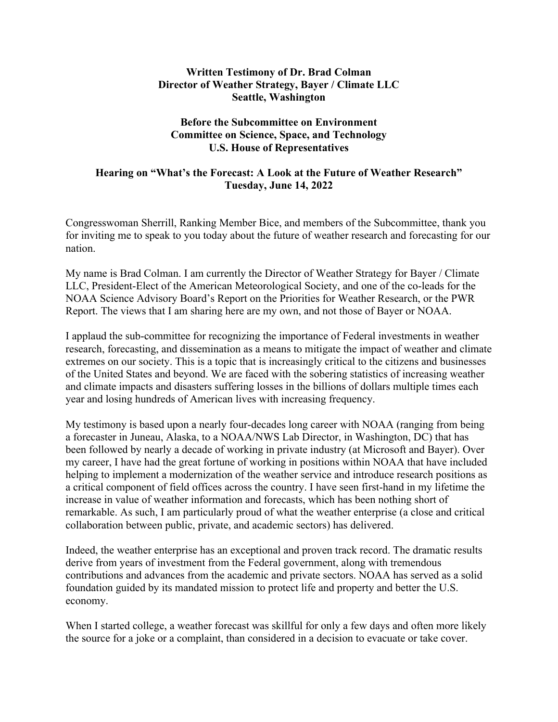## **Written Testimony of Dr. Brad Colman Director of Weather Strategy, Bayer / Climate LLC Seattle, Washington**

## **Before the Subcommittee on Environment Committee on Science, Space, and Technology U.S. House of Representatives**

## **Hearing on "What's the Forecast: A Look at the Future of Weather Research" Tuesday, June 14, 2022**

Congresswoman Sherrill, Ranking Member Bice, and members of the Subcommittee, thank you for inviting me to speak to you today about the future of weather research and forecasting for our nation.

My name is Brad Colman. I am currently the Director of Weather Strategy for Bayer / Climate LLC, President-Elect of the American Meteorological Society, and one of the co-leads for the NOAA Science Advisory Board's Report on the Priorities for Weather Research, or the PWR Report. The views that I am sharing here are my own, and not those of Bayer or NOAA.

I applaud the sub-committee for recognizing the importance of Federal investments in weather research, forecasting, and dissemination as a means to mitigate the impact of weather and climate extremes on our society. This is a topic that is increasingly critical to the citizens and businesses of the United States and beyond. We are faced with the sobering statistics of increasing weather and climate impacts and disasters suffering losses in the billions of dollars multiple times each year and losing hundreds of American lives with increasing frequency.

My testimony is based upon a nearly four-decades long career with NOAA (ranging from being a forecaster in Juneau, Alaska, to a NOAA/NWS Lab Director, in Washington, DC) that has been followed by nearly a decade of working in private industry (at Microsoft and Bayer). Over my career, I have had the great fortune of working in positions within NOAA that have included helping to implement a modernization of the weather service and introduce research positions as a critical component of field offices across the country. I have seen first-hand in my lifetime the increase in value of weather information and forecasts, which has been nothing short of remarkable. As such, I am particularly proud of what the weather enterprise (a close and critical collaboration between public, private, and academic sectors) has delivered.

Indeed, the weather enterprise has an exceptional and proven track record. The dramatic results derive from years of investment from the Federal government, along with tremendous contributions and advances from the academic and private sectors. NOAA has served as a solid foundation guided by its mandated mission to protect life and property and better the U.S. economy.

When I started college, a weather forecast was skillful for only a few days and often more likely the source for a joke or a complaint, than considered in a decision to evacuate or take cover.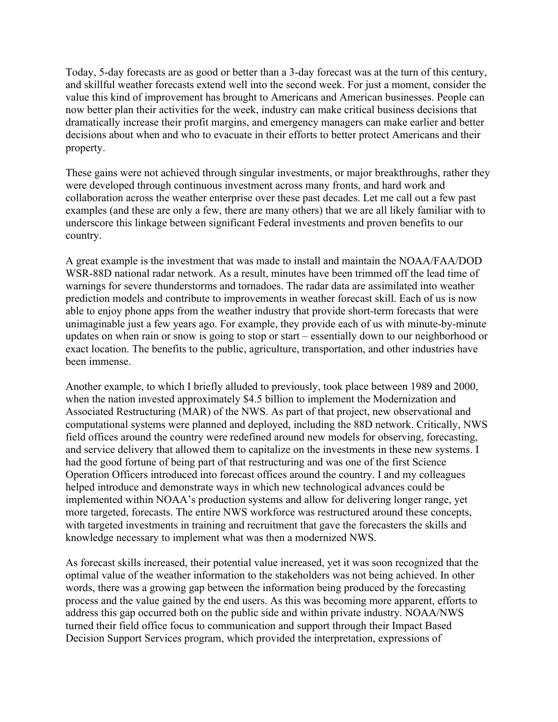Today, 5-day forecasts are as good or better than a 3-day forecast was at the turn of this century, and skillful weather forecasts extend well into the second week. For just a moment, consider the value this kind of improvement has brought to Americans and American businesses. People can now better plan their activities for the week, industry can make critical business decisions that dramatically increase their profit margins, and emergency managers can make earlier and better decisions about when and who to evacuate in their efforts to better protect Americans and their property.

These gains were not achieved through singular investments, or major breakthroughs, rather they were developed through continuous investment across many fronts, and hard work and collaboration across the weather enterprise over these past decades. Let me call out a few past examples (and these are only a few, there are many others) that we are all likely familiar with to underscore this linkage between significant Federal investments and proven benefits to our country.

A great example is the investment that was made to install and maintain the NOAA/FAA/DOD WSR-88D national radar network. As a result, minutes have been trimmed off the lead time of warnings for severe thunderstorms and tornadoes. The radar data are assimilated into weather prediction models and contribute to improvements in weather forecast skill. Each of us is now able to enjoy phone apps from the weather industry that provide short-term forecasts that were unimaginable just a few years ago. For example, they provide each of us with minute-by-minute updates on when rain or snow is going to stop or start – essentially down to our neighborhood or exact location. The benefits to the public, agriculture, transportation, and other industries have been immense.

Another example, to which I briefly alluded to previously, took place between 1989 and 2000, when the nation invested approximately \$4.5 billion to implement the Modernization and Associated Restructuring (MAR) of the NWS. As part of that project, new observational and computational systems were planned and deployed, including the 88D network. Critically, NWS field offices around the country were redefined around new models for observing, forecasting, and service delivery that allowed them to capitalize on the investments in these new systems. I had the good fortune of being part of that restructuring and was one of the first Science Operation Officers introduced into forecast offices around the country. I and my colleagues helped introduce and demonstrate ways in which new technological advances could be implemented within NOAA's production systems and allow for delivering longer range, yet more targeted, forecasts. The entire NWS workforce was restructured around these concepts, with targeted investments in training and recruitment that gave the forecasters the skills and knowledge necessary to implement what was then a modernized NWS.

As forecast skills increased, their potential value increased, yet it was soon recognized that the optimal value of the weather information to the stakeholders was not being achieved. In other words, there was a growing gap between the information being produced by the forecasting process and the value gained by the end users. As this was becoming more apparent, efforts to address this gap occurred both on the public side and within private industry. NOAA/NWS turned their field office focus to communication and support through their Impact Based Decision Support Services program, which provided the interpretation, expressions of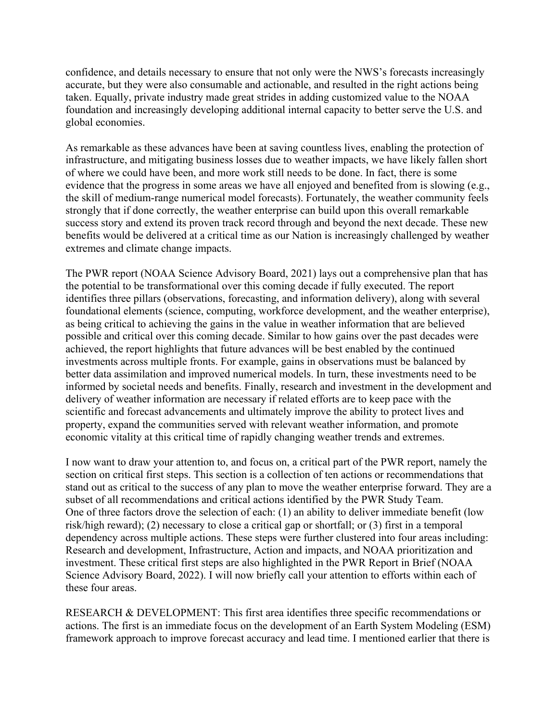confidence, and details necessary to ensure that not only were the NWS's forecasts increasingly accurate, but they were also consumable and actionable, and resulted in the right actions being taken. Equally, private industry made great strides in adding customized value to the NOAA foundation and increasingly developing additional internal capacity to better serve the U.S. and global economies.

As remarkable as these advances have been at saving countless lives, enabling the protection of infrastructure, and mitigating business losses due to weather impacts, we have likely fallen short of where we could have been, and more work still needs to be done. In fact, there is some evidence that the progress in some areas we have all enjoyed and benefited from is slowing (e.g., the skill of medium-range numerical model forecasts). Fortunately, the weather community feels strongly that if done correctly, the weather enterprise can build upon this overall remarkable success story and extend its proven track record through and beyond the next decade. These new benefits would be delivered at a critical time as our Nation is increasingly challenged by weather extremes and climate change impacts.

The PWR report (NOAA Science Advisory Board, 2021) lays out a comprehensive plan that has the potential to be transformational over this coming decade if fully executed. The report identifies three pillars (observations, forecasting, and information delivery), along with several foundational elements (science, computing, workforce development, and the weather enterprise), as being critical to achieving the gains in the value in weather information that are believed possible and critical over this coming decade. Similar to how gains over the past decades were achieved, the report highlights that future advances will be best enabled by the continued investments across multiple fronts. For example, gains in observations must be balanced by better data assimilation and improved numerical models. In turn, these investments need to be informed by societal needs and benefits. Finally, research and investment in the development and delivery of weather information are necessary if related efforts are to keep pace with the scientific and forecast advancements and ultimately improve the ability to protect lives and property, expand the communities served with relevant weather information, and promote economic vitality at this critical time of rapidly changing weather trends and extremes.

I now want to draw your attention to, and focus on, a critical part of the PWR report, namely the section on critical first steps. This section is a collection of ten actions or recommendations that stand out as critical to the success of any plan to move the weather enterprise forward. They are a subset of all recommendations and critical actions identified by the PWR Study Team. One of three factors drove the selection of each: (1) an ability to deliver immediate benefit (low risk/high reward); (2) necessary to close a critical gap or shortfall; or (3) first in a temporal dependency across multiple actions. These steps were further clustered into four areas including: Research and development, Infrastructure, Action and impacts, and NOAA prioritization and investment. These critical first steps are also highlighted in the PWR Report in Brief (NOAA Science Advisory Board, 2022). I will now briefly call your attention to efforts within each of these four areas.

RESEARCH & DEVELOPMENT: This first area identifies three specific recommendations or actions. The first is an immediate focus on the development of an Earth System Modeling (ESM) framework approach to improve forecast accuracy and lead time. I mentioned earlier that there is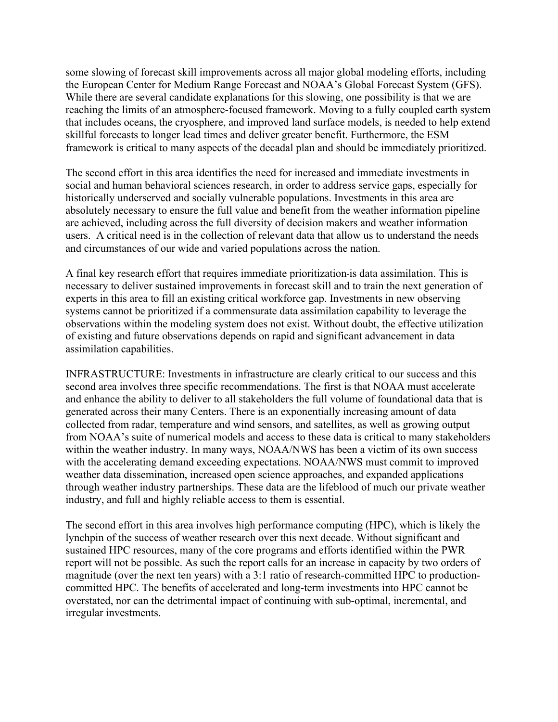some slowing of forecast skill improvements across all major global modeling efforts, including the European Center for Medium Range Forecast and NOAA's Global Forecast System (GFS). While there are several candidate explanations for this slowing, one possibility is that we are reaching the limits of an atmosphere-focused framework. Moving to a fully coupled earth system that includes oceans, the cryosphere, and improved land surface models, is needed to help extend skillful forecasts to longer lead times and deliver greater benefit. Furthermore, the ESM framework is critical to many aspects of the decadal plan and should be immediately prioritized.

The second effort in this area identifies the need for increased and immediate investments in social and human behavioral sciences research, in order to address service gaps, especially for historically underserved and socially vulnerable populations. Investments in this area are absolutely necessary to ensure the full value and benefit from the weather information pipeline are achieved, including across the full diversity of decision makers and weather information users. A critical need is in the collection of relevant data that allow us to understand the needs and circumstances of our wide and varied populations across the nation.

A final key research effort that requires immediate prioritization is data assimilation. This is necessary to deliver sustained improvements in forecast skill and to train the next generation of experts in this area to fill an existing critical workforce gap. Investments in new observing systems cannot be prioritized if a commensurate data assimilation capability to leverage the observations within the modeling system does not exist. Without doubt, the effective utilization of existing and future observations depends on rapid and significant advancement in data assimilation capabilities.

INFRASTRUCTURE: Investments in infrastructure are clearly critical to our success and this second area involves three specific recommendations. The first is that NOAA must accelerate and enhance the ability to deliver to all stakeholders the full volume of foundational data that is generated across their many Centers. There is an exponentially increasing amount of data collected from radar, temperature and wind sensors, and satellites, as well as growing output from NOAA's suite of numerical models and access to these data is critical to many stakeholders within the weather industry. In many ways, NOAA/NWS has been a victim of its own success with the accelerating demand exceeding expectations. NOAA/NWS must commit to improved weather data dissemination, increased open science approaches, and expanded applications through weather industry partnerships. These data are the lifeblood of much our private weather industry, and full and highly reliable access to them is essential.

The second effort in this area involves high performance computing (HPC), which is likely the lynchpin of the success of weather research over this next decade. Without significant and sustained HPC resources, many of the core programs and efforts identified within the PWR report will not be possible. As such the report calls for an increase in capacity by two orders of magnitude (over the next ten years) with a 3:1 ratio of research-committed HPC to productioncommitted HPC. The benefits of accelerated and long-term investments into HPC cannot be overstated, nor can the detrimental impact of continuing with sub-optimal, incremental, and irregular investments.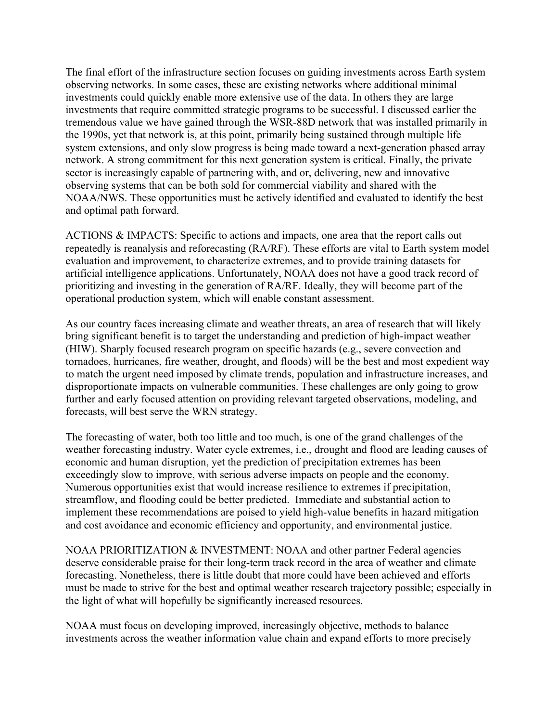The final effort of the infrastructure section focuses on guiding investments across Earth system observing networks. In some cases, these are existing networks where additional minimal investments could quickly enable more extensive use of the data. In others they are large investments that require committed strategic programs to be successful. I discussed earlier the tremendous value we have gained through the WSR-88D network that was installed primarily in the 1990s, yet that network is, at this point, primarily being sustained through multiple life system extensions, and only slow progress is being made toward a next-generation phased array network. A strong commitment for this next generation system is critical. Finally, the private sector is increasingly capable of partnering with, and or, delivering, new and innovative observing systems that can be both sold for commercial viability and shared with the NOAA/NWS. These opportunities must be actively identified and evaluated to identify the best and optimal path forward.

ACTIONS & IMPACTS: Specific to actions and impacts, one area that the report calls out repeatedly is reanalysis and reforecasting (RA/RF). These efforts are vital to Earth system model evaluation and improvement, to characterize extremes, and to provide training datasets for artificial intelligence applications. Unfortunately, NOAA does not have a good track record of prioritizing and investing in the generation of RA/RF. Ideally, they will become part of the operational production system, which will enable constant assessment.

As our country faces increasing climate and weather threats, an area of research that will likely bring significant benefit is to target the understanding and prediction of high-impact weather (HIW). Sharply focused research program on specific hazards (e.g., severe convection and tornadoes, hurricanes, fire weather, drought, and floods) will be the best and most expedient way to match the urgent need imposed by climate trends, population and infrastructure increases, and disproportionate impacts on vulnerable communities. These challenges are only going to grow further and early focused attention on providing relevant targeted observations, modeling, and forecasts, will best serve the WRN strategy.

The forecasting of water, both too little and too much, is one of the grand challenges of the weather forecasting industry. Water cycle extremes, i.e., drought and flood are leading causes of economic and human disruption, yet the prediction of precipitation extremes has been exceedingly slow to improve, with serious adverse impacts on people and the economy. Numerous opportunities exist that would increase resilience to extremes if precipitation, streamflow, and flooding could be better predicted. Immediate and substantial action to implement these recommendations are poised to yield high-value benefits in hazard mitigation and cost avoidance and economic efficiency and opportunity, and environmental justice.

NOAA PRIORITIZATION & INVESTMENT: NOAA and other partner Federal agencies deserve considerable praise for their long-term track record in the area of weather and climate forecasting. Nonetheless, there is little doubt that more could have been achieved and efforts must be made to strive for the best and optimal weather research trajectory possible; especially in the light of what will hopefully be significantly increased resources.

NOAA must focus on developing improved, increasingly objective, methods to balance investments across the weather information value chain and expand efforts to more precisely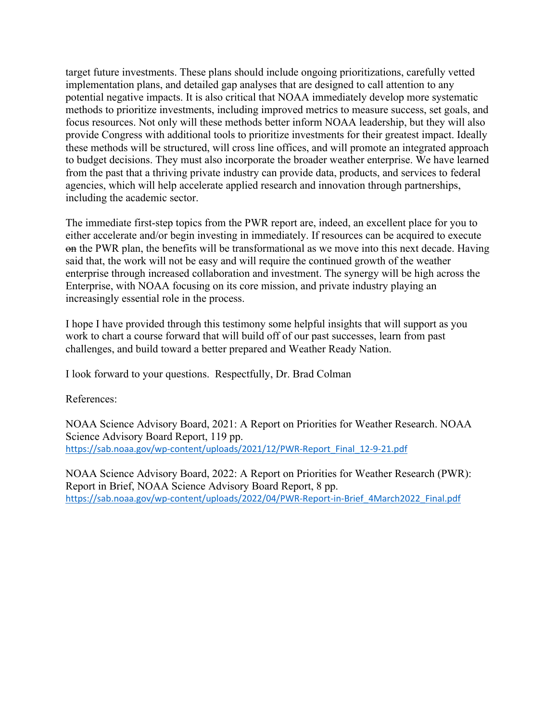target future investments. These plans should include ongoing prioritizations, carefully vetted implementation plans, and detailed gap analyses that are designed to call attention to any potential negative impacts. It is also critical that NOAA immediately develop more systematic methods to prioritize investments, including improved metrics to measure success, set goals, and focus resources. Not only will these methods better inform NOAA leadership, but they will also provide Congress with additional tools to prioritize investments for their greatest impact. Ideally these methods will be structured, will cross line offices, and will promote an integrated approach to budget decisions. They must also incorporate the broader weather enterprise. We have learned from the past that a thriving private industry can provide data, products, and services to federal agencies, which will help accelerate applied research and innovation through partnerships, including the academic sector.

The immediate first-step topics from the PWR report are, indeed, an excellent place for you to either accelerate and/or begin investing in immediately. If resources can be acquired to execute on the PWR plan, the benefits will be transformational as we move into this next decade. Having said that, the work will not be easy and will require the continued growth of the weather enterprise through increased collaboration and investment. The synergy will be high across the Enterprise, with NOAA focusing on its core mission, and private industry playing an increasingly essential role in the process.

I hope I have provided through this testimony some helpful insights that will support as you work to chart a course forward that will build off of our past successes, learn from past challenges, and build toward a better prepared and Weather Ready Nation.

I look forward to your questions. Respectfully, Dr. Brad Colman

References:

NOAA Science Advisory Board, 2021: A Report on Priorities for Weather Research. NOAA Science Advisory Board Report, 119 pp. https://sab.noaa.gov/wp-content/uploads/2021/12/PWR-Report\_Final\_12-9-21.pdf

NOAA Science Advisory Board, 2022: A Report on Priorities for Weather Research (PWR): Report in Brief, NOAA Science Advisory Board Report, 8 pp. https://sab.noaa.gov/wp-content/uploads/2022/04/PWR-Report-in-Brief\_4March2022\_Final.pdf